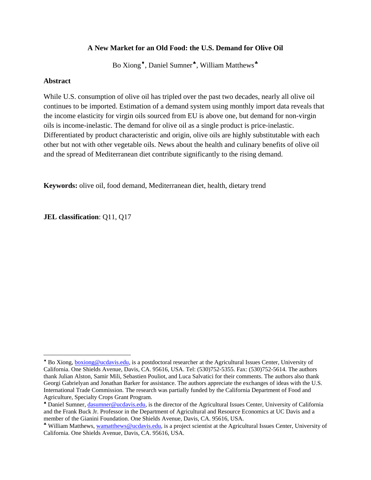#### **A New Market for an Old Food: the U.S. Demand for Olive Oil**

Bo Xiong<sup>◆</sup>, Daniel Sumner<sup>◆</sup>, William Matthews<sup>◆</sup>

#### **Abstract**

 $\overline{\phantom{a}}$ 

While U.S. consumption of olive oil has tripled over the past two decades, nearly all olive oil continues to be imported. Estimation of a demand system using monthly import data reveals that the income elasticity for virgin oils sourced from EU is above one, but demand for non-virgin oils is income-inelastic. The demand for olive oil as a single product is price-inelastic. Differentiated by product characteristic and origin, olive oils are highly substitutable with each other but not with other vegetable oils. News about the health and culinary benefits of olive oil and the spread of Mediterranean diet contribute significantly to the rising demand.

**Keywords:** olive oil, food demand, Mediterranean diet, health, dietary trend

**JEL classification**: Q11, Q17

<span id="page-0-0"></span><sup>♦</sup> Bo Xiong, [boxiong@ucdavis.edu,](mailto:boxiong@ucdavis.edu) is a postdoctoral researcher at the Agricultural Issues Center, University of California. One Shields Avenue, Davis, CA. 95616, USA. Tel: (530)752-5355. Fax: (530)752-5614. The authors thank Julian Alston, Samir Mili, Sebastien Pouliot, and Luca Salvatici for their comments. The authors also thank Georgi Gabrielyan and Jonathan Barker for assistance. The authors appreciate the exchanges of ideas with the U.S. International Trade Commission. The research was partially funded by the California Department of Food and Agriculture, Specialty Crops Grant Program.

<span id="page-0-1"></span><sup>♠</sup> Daniel Sumner, [dasumner@ucdavis.edu,](mailto:dasumner@ucdavis.edu) is the director of the Agricultural Issues Center, University of California and the Frank Buck Jr. Professor in the Department of Agricultural and Resource Economics at UC Davis and a member of the Gianini Foundation. One Shields Avenue, Davis, CA. 95616, USA.

<span id="page-0-2"></span><sup>♣</sup> William Matthews, [wamatthews@ucdavis.edu,](mailto:wamatthews@ucdavis.edu) is a project scientist at the Agricultural Issues Center, University of California. One Shields Avenue, Davis, CA. 95616, USA.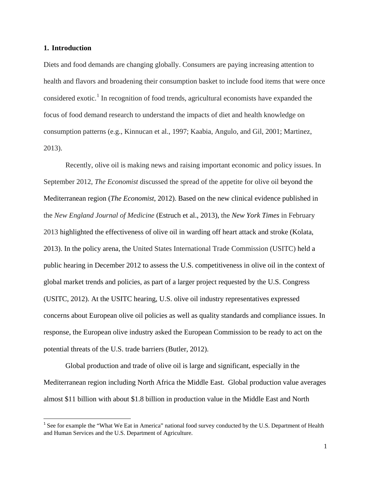#### **1. Introduction**

Diets and food demands are changing globally. Consumers are paying increasing attention to health and flavors and broadening their consumption basket to include food items that were once considered exotic.<sup>[1](#page-1-0)</sup> In recognition of food trends, agricultural economists have expanded the focus of food demand research to understand the impacts of diet and health knowledge on consumption patterns (e.g., Kinnucan et al., 1997; Kaabia, Angulo, and Gil, 2001; Martinez, 2013).

Recently, olive oil is making news and raising important economic and policy issues. In September 2012, *The Economist* discussed the spread of the appetite for olive oil beyond the Mediterranean region (*The Economist*, 2012). Based on the new clinical evidence published in the *New England Journal of Medicine* (Estruch et al., 2013), the *New York Times* in February 2013 highlighted the effectiveness of olive oil in warding off heart attack and stroke (Kolata, 2013). In the policy arena, the United States International Trade Commission (USITC) held a public hearing in December 2012 to assess the U.S. competitiveness in olive oil in the context of global market trends and policies, as part of a larger project requested by the U.S. Congress (USITC, 2012). At the USITC hearing, U.S. olive oil industry representatives expressed concerns about European olive oil policies as well as quality standards and compliance issues. In response, the European olive industry asked the European Commission to be ready to act on the potential threats of the U.S. trade barriers (Butler, 2012).

Global production and trade of olive oil is large and significant, especially in the Mediterranean region including North Africa the Middle East. Global production value averages almost \$11 billion with about \$1.8 billion in production value in the Middle East and North

<span id="page-1-0"></span><sup>&</sup>lt;sup>1</sup> See for example the "What We Eat in America" national food survey conducted by the U.S. Department of Health and Human Services and the U.S. Department of Agriculture.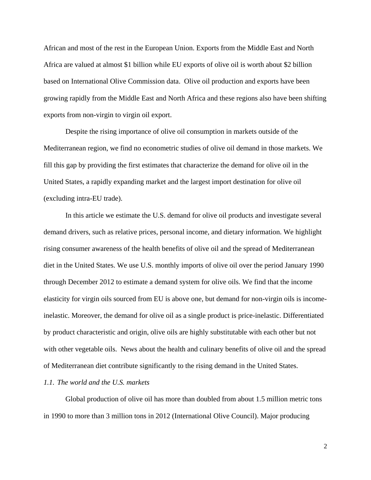African and most of the rest in the European Union. Exports from the Middle East and North Africa are valued at almost \$1 billion while EU exports of olive oil is worth about \$2 billion based on International Olive Commission data. Olive oil production and exports have been growing rapidly from the Middle East and North Africa and these regions also have been shifting exports from non-virgin to virgin oil export.

Despite the rising importance of olive oil consumption in markets outside of the Mediterranean region, we find no econometric studies of olive oil demand in those markets. We fill this gap by providing the first estimates that characterize the demand for olive oil in the United States, a rapidly expanding market and the largest import destination for olive oil (excluding intra-EU trade).

In this article we estimate the U.S. demand for olive oil products and investigate several demand drivers, such as relative prices, personal income, and dietary information. We highlight rising consumer awareness of the health benefits of olive oil and the spread of Mediterranean diet in the United States. We use U.S. monthly imports of olive oil over the period January 1990 through December 2012 to estimate a demand system for olive oils. We find that the income elasticity for virgin oils sourced from EU is above one, but demand for non-virgin oils is incomeinelastic. Moreover, the demand for olive oil as a single product is price-inelastic. Differentiated by product characteristic and origin, olive oils are highly substitutable with each other but not with other vegetable oils. News about the health and culinary benefits of olive oil and the spread of Mediterranean diet contribute significantly to the rising demand in the United States.

#### *1.1. The world and the U.S. markets*

Global production of olive oil has more than doubled from about 1.5 million metric tons in 1990 to more than 3 million tons in 2012 (International Olive Council). Major producing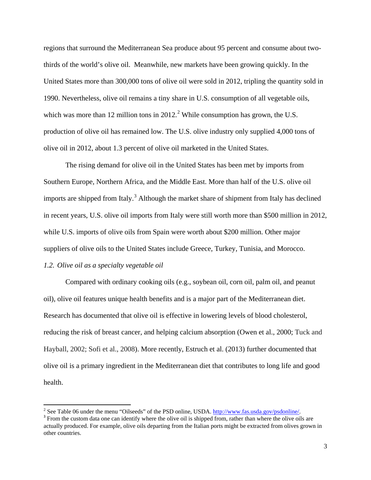regions that surround the Mediterranean Sea produce about 95 percent and consume about twothirds of the world's olive oil. Meanwhile, new markets have been growing quickly. In the United States more than 300,000 tons of olive oil were sold in 2012, tripling the quantity sold in 1990. Nevertheless, olive oil remains a tiny share in U.S. consumption of all vegetable oils, which was more than 1[2](#page-3-0) million tons in  $2012<sup>2</sup>$  While consumption has grown, the U.S. production of olive oil has remained low. The U.S. olive industry only supplied 4,000 tons of olive oil in 2012, about 1.3 percent of olive oil marketed in the United States.

The rising demand for olive oil in the United States has been met by imports from Southern Europe, Northern Africa, and the Middle East. More than half of the U.S. olive oil imports are shipped from Italy.<sup>[3](#page-3-1)</sup> Although the market share of shipment from Italy has declined in recent years, U.S. olive oil imports from Italy were still worth more than \$500 million in 2012, while U.S. imports of olive oils from Spain were worth about \$200 million. Other major suppliers of olive oils to the United States include Greece, Turkey, Tunisia, and Morocco.

#### *1.2. Olive oil as a specialty vegetable oil*

 $\overline{\phantom{a}}$ 

Compared with ordinary cooking oils (e.g., soybean oil, corn oil, palm oil, and peanut oil), olive oil features unique health benefits and is a major part of the Mediterranean diet. Research has documented that olive oil is effective in lowering levels of blood cholesterol, reducing the risk of breast cancer, and helping calcium absorption (Owen et al., 2000; Tuck and Hayball, 2002; Sofi et al., 2008). More recently, Estruch et al. (2013) further documented that olive oil is a primary ingredient in the Mediterranean diet that contributes to long life and good health.

<span id="page-3-0"></span><sup>&</sup>lt;sup>2</sup> See Table 06 under the menu "Oilseeds" of the PSD online, USDA.  $\frac{http://www.fas.usda.gov/psdonline/}{http://www.fas.usda.gov/psdonline/}$ .<br><sup>3</sup> From the custom data one can identify where the olive oil is shipped from, rather than where the olive oils are

<span id="page-3-1"></span>actually produced. For example, olive oils departing from the Italian ports might be extracted from olives grown in other countries.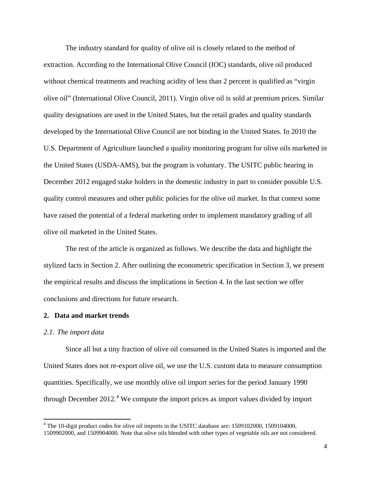The industry standard for quality of olive oil is closely related to the method of extraction. According to the International Olive Council (IOC) standards, olive oil produced without chemical treatments and reaching acidity of less than 2 percent is qualified as "virgin olive oil" (International Olive Council, 2011). Virgin olive oil is sold at premium prices. Similar quality designations are used in the United States, but the retail grades and quality standards developed by the International Olive Council are not binding in the United States. In 2010 the U.S. Department of Agriculture launched a quality monitoring program for olive oils marketed in the United States (USDA-AMS), but the program is voluntary. The USITC public hearing in December 2012 engaged stake holders in the domestic industry in part to consider possible U.S. quality control measures and other public policies for the olive oil market. In that context some have raised the potential of a federal marketing order to implement mandatory grading of all olive oil marketed in the United States.

The rest of the article is organized as follows. We describe the data and highlight the stylized facts in Section 2. After outlining the econometric specification in Section 3, we present the empirical results and discuss the implications in Section 4. In the last section we offer conclusions and directions for future research.

#### **2. Data and market trends**

#### *2.1. The import data*

 $\overline{\phantom{a}}$ 

Since all but a tiny fraction of olive oil consumed in the United States is imported and the United States does not re-export olive oil, we use the U.S. custom data to measure consumption quantities. Specifically, we use monthly olive oil import series for the period January 1990 through December  $2012<sup>4</sup>$  $2012<sup>4</sup>$  $2012<sup>4</sup>$  We compute the import prices as import values divided by import

<span id="page-4-0"></span><sup>&</sup>lt;sup>4</sup> The 10-digit product codes for olive oil imports in the USITC database are: 1509102000, 1509104000, 1509902000, and 1509904000. Note that olive oils blended with other types of vegetable oils are not considered.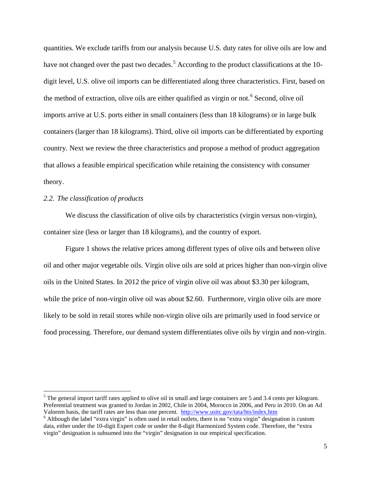quantities. We exclude tariffs from our analysis because U.S. duty rates for olive oils are low and have not changed over the past two decades.<sup>[5](#page-5-0)</sup> According to the product classifications at the 10digit level, U.S. olive oil imports can be differentiated along three characteristics. First, based on the method of extraction, olive oils are either qualified as virgin or not. [6](#page-5-1) Second, olive oil imports arrive at U.S. ports either in small containers (less than 18 kilograms) or in large bulk containers (larger than 18 kilograms). Third, olive oil imports can be differentiated by exporting country. Next we review the three characteristics and propose a method of product aggregation that allows a feasible empirical specification while retaining the consistency with consumer theory.

#### *2.2. The classification of products*

l

We discuss the classification of olive oils by characteristics (virgin versus non-virgin), container size (less or larger than 18 kilograms), and the country of export.

Figure 1 shows the relative prices among different types of olive oils and between olive oil and other major vegetable oils. Virgin olive oils are sold at prices higher than non-virgin olive oils in the United States. In 2012 the price of virgin olive oil was about \$3.30 per kilogram, while the price of non-virgin olive oil was about \$2.60. Furthermore, virgin olive oils are more likely to be sold in retail stores while non-virgin olive oils are primarily used in food service or food processing. Therefore, our demand system differentiates olive oils by virgin and non-virgin.

<span id="page-5-0"></span> $<sup>5</sup>$  The general import tariff rates applied to olive oil in small and large containers are 5 and 3.4 cents per kilogram.</sup> Preferential treatment was granted to Jordan in 2002, Chile in 2004, Morocco in 2006, and Peru in 2010. On an Ad Valorem basis, the tariff rates are less than one percent. <http://www.usitc.gov/tata/hts/index.htm> <sup>6</sup> Although the label "extra virgin" is often used in retail outlets, there is no "extra virgin" designation is custom

<span id="page-5-1"></span>data, either under the 10-digit Expert code or under the 8-digit Harmonized System code. Therefore, the "extra virgin" designation is subsumed into the "virgin" designation in our empirical specification.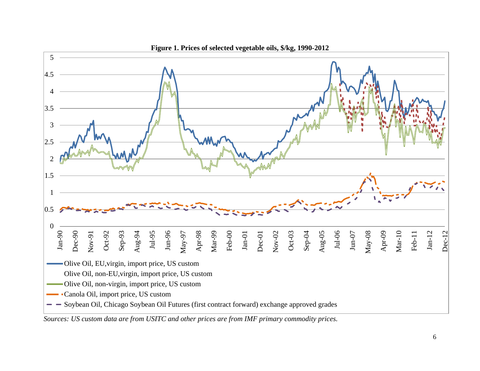

*Sources: US custom data are from USITC and other prices are from IMF primary commodity prices.*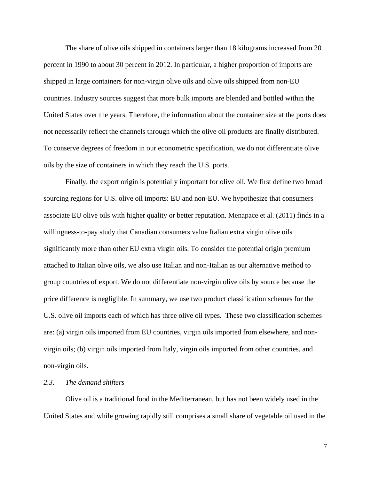The share of olive oils shipped in containers larger than 18 kilograms increased from 20 percent in 1990 to about 30 percent in 2012. In particular, a higher proportion of imports are shipped in large containers for non-virgin olive oils and olive oils shipped from non-EU countries. Industry sources suggest that more bulk imports are blended and bottled within the United States over the years. Therefore, the information about the container size at the ports does not necessarily reflect the channels through which the olive oil products are finally distributed. To conserve degrees of freedom in our econometric specification, we do not differentiate olive oils by the size of containers in which they reach the U.S. ports.

Finally, the export origin is potentially important for olive oil. We first define two broad sourcing regions for U.S. olive oil imports: EU and non-EU. We hypothesize that consumers associate EU olive oils with higher quality or better reputation. Menapace et al. (2011) finds in a willingness-to-pay study that Canadian consumers value Italian extra virgin olive oils significantly more than other EU extra virgin oils. To consider the potential origin premium attached to Italian olive oils, we also use Italian and non-Italian as our alternative method to group countries of export. We do not differentiate non-virgin olive oils by source because the price difference is negligible. In summary, we use two product classification schemes for the U.S. olive oil imports each of which has three olive oil types. These two classification schemes are: (a) virgin oils imported from EU countries, virgin oils imported from elsewhere, and nonvirgin oils; (b) virgin oils imported from Italy, virgin oils imported from other countries, and non-virgin oils.

#### *2.3. The demand shifters*

Olive oil is a traditional food in the Mediterranean, but has not been widely used in the United States and while growing rapidly still comprises a small share of vegetable oil used in the

7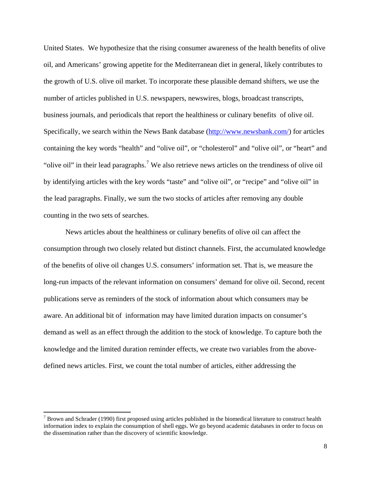United States. We hypothesize that the rising consumer awareness of the health benefits of olive oil, and Americans' growing appetite for the Mediterranean diet in general, likely contributes to the growth of U.S. olive oil market. To incorporate these plausible demand shifters, we use the number of articles published in U.S. newspapers, newswires, blogs, broadcast transcripts, business journals, and periodicals that report the healthiness or culinary benefits of olive oil. Specifically, we search within the News Bank database [\(http://www.newsbank.com/\)](http://www.newsbank.com/) for articles containing the key words "health" and "olive oil", or "cholesterol" and "olive oil", or "heart" and "olive oil" in their lead paragraphs.<sup>[7](#page-8-0)</sup> We also retrieve news articles on the trendiness of olive oil by identifying articles with the key words "taste" and "olive oil", or "recipe" and "olive oil" in the lead paragraphs. Finally, we sum the two stocks of articles after removing any double counting in the two sets of searches.

News articles about the healthiness or culinary benefits of olive oil can affect the consumption through two closely related but distinct channels. First, the accumulated knowledge of the benefits of olive oil changes U.S. consumers' information set. That is, we measure the long-run impacts of the relevant information on consumers' demand for olive oil. Second, recent publications serve as reminders of the stock of information about which consumers may be aware. An additional bit of information may have limited duration impacts on consumer's demand as well as an effect through the addition to the stock of knowledge. To capture both the knowledge and the limited duration reminder effects, we create two variables from the abovedefined news articles. First, we count the total number of articles, either addressing the

l

<span id="page-8-0"></span> $<sup>7</sup>$  Brown and Schrader (1990) first proposed using articles published in the biomedical literature to construct health</sup> information index to explain the consumption of shell eggs. We go beyond academic databases in order to focus on the dissemination rather than the discovery of scientific knowledge.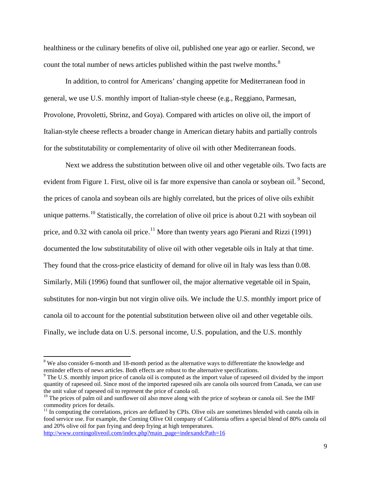healthiness or the culinary benefits of olive oil, published one year ago or earlier. Second, we count the total number of news articles published within the past twelve months.<sup>[8](#page-9-0)</sup>

In addition, to control for Americans' changing appetite for Mediterranean food in general, we use U.S. monthly import of Italian-style cheese (e.g., Reggiano, Parmesan, Provolone, Provoletti, Sbrinz, and Goya). Compared with articles on olive oil, the import of Italian-style cheese reflects a broader change in American dietary habits and partially controls for the substitutability or complementarity of olive oil with other Mediterranean foods.

Next we address the substitution between olive oil and other vegetable oils. Two facts are evident from Figure 1. First, olive oil is far more expensive than canola or soybean oil. <sup>[9](#page-9-1)</sup> Second, the prices of canola and soybean oils are highly correlated, but the prices of olive oils exhibit unique patterns.<sup>[10](#page-9-2)</sup> Statistically, the correlation of olive oil price is about 0.21 with soybean oil price, and 0.32 with canola oil price.<sup>[11](#page-9-3)</sup> More than twenty years ago Pierani and Rizzi (1991) documented the low substitutability of olive oil with other vegetable oils in Italy at that time. They found that the cross-price elasticity of demand for olive oil in Italy was less than 0.08. Similarly, Mili (1996) found that sunflower oil, the major alternative vegetable oil in Spain, substitutes for non-virgin but not virgin olive oils. We include the U.S. monthly import price of canola oil to account for the potential substitution between olive oil and other vegetable oils. Finally, we include data on U.S. personal income, U.S. population, and the U.S. monthly

[http://www.corningoliveoil.com/index.php?main\\_page=indexandcPath=16](http://www.corningoliveoil.com/index.php?main_page=index&cPath=16)

<span id="page-9-0"></span><sup>&</sup>lt;sup>8</sup> We also consider 6-month and 18-month period as the alternative ways to differentiate the knowledge and reminder effects of news articles. Both effects are robust to the alternative specifications.

<span id="page-9-1"></span><sup>&</sup>lt;sup>9</sup> The U.S. monthly import price of canola oil is computed as the import value of rapeseed oil divided by the import quantity of rapeseed oil. Since most of the imported rapeseed oils are canola oils sourced from Canada, we can use the unit value of rapeseed oil to represent the price of canola oil.<br><sup>10</sup> The prices of palm oil and sunflower oil also move along with the price of soybean or canola oil. See the IMF

<span id="page-9-2"></span>commodity prices for details.

<span id="page-9-3"></span> $11$  In computing the correlations, prices are deflated by CPIs. Olive oils are sometimes blended with canola oils in food service use. For example, the Corning Olive Oil company of California offers a special blend of 80% canola oil and 20% olive oil for pan frying and deep frying at high temperatures.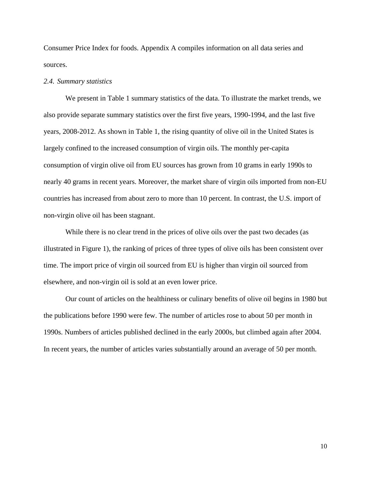Consumer Price Index for foods. Appendix A compiles information on all data series and sources.

#### *2.4. Summary statistics*

We present in Table 1 summary statistics of the data. To illustrate the market trends, we also provide separate summary statistics over the first five years, 1990-1994, and the last five years, 2008-2012. As shown in Table 1, the rising quantity of olive oil in the United States is largely confined to the increased consumption of virgin oils. The monthly per-capita consumption of virgin olive oil from EU sources has grown from 10 grams in early 1990s to nearly 40 grams in recent years. Moreover, the market share of virgin oils imported from non-EU countries has increased from about zero to more than 10 percent. In contrast, the U.S. import of non-virgin olive oil has been stagnant.

While there is no clear trend in the prices of olive oils over the past two decades (as illustrated in Figure 1), the ranking of prices of three types of olive oils has been consistent over time. The import price of virgin oil sourced from EU is higher than virgin oil sourced from elsewhere, and non-virgin oil is sold at an even lower price.

Our count of articles on the healthiness or culinary benefits of olive oil begins in 1980 but the publications before 1990 were few. The number of articles rose to about 50 per month in 1990s. Numbers of articles published declined in the early 2000s, but climbed again after 2004. In recent years, the number of articles varies substantially around an average of 50 per month.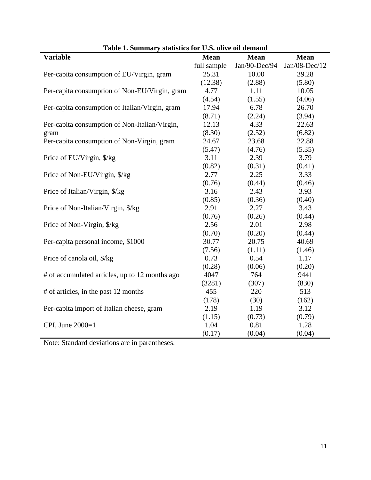| <b>Variable</b>                                | <b>Mean</b> | <b>Mean</b>   | <b>Mean</b>     |
|------------------------------------------------|-------------|---------------|-----------------|
|                                                | full sample | Jan/90-Dec/94 | $Jan/08-Dec/12$ |
| Per-capita consumption of EU/Virgin, gram      | 25.31       | 10.00         | 39.28           |
|                                                | (12.38)     | (2.88)        | (5.80)          |
| Per-capita consumption of Non-EU/Virgin, gram  | 4.77        | 1.11          | 10.05           |
|                                                | (4.54)      | (1.55)        | (4.06)          |
| Per-capita consumption of Italian/Virgin, gram | 17.94       | 6.78          | 26.70           |
|                                                | (8.71)      | (2.24)        | (3.94)          |
| Per-capita consumption of Non-Italian/Virgin,  | 12.13       | 4.33          | 22.63           |
| gram                                           | (8.30)      | (2.52)        | (6.82)          |
| Per-capita consumption of Non-Virgin, gram     | 24.67       | 23.68         | 22.88           |
|                                                | (5.47)      | (4.76)        | (5.35)          |
| Price of EU/Virgin, \$/kg                      | 3.11        | 2.39          | 3.79            |
|                                                | (0.82)      | (0.31)        | (0.41)          |
| Price of Non-EU/Virgin, \$/kg                  | 2.77        | 2.25          | 3.33            |
|                                                | (0.76)      | (0.44)        | (0.46)          |
| Price of Italian/Virgin, \$/kg                 | 3.16        | 2.43          | 3.93            |
|                                                | (0.85)      | (0.36)        | (0.40)          |
| Price of Non-Italian/Virgin, \$/kg             | 2.91        | 2.27          | 3.43            |
|                                                | (0.76)      | (0.26)        | (0.44)          |
| Price of Non-Virgin, \$/kg                     | 2.56        | 2.01          | 2.98            |
|                                                | (0.70)      | (0.20)        | (0.44)          |
| Per-capita personal income, \$1000             | 30.77       | 20.75         | 40.69           |
|                                                | (7.56)      | (1.11)        | (1.46)          |
| Price of canola oil, \$/kg                     | 0.73        | 0.54          | 1.17            |
|                                                | (0.28)      | (0.06)        | (0.20)          |
| # of accumulated articles, up to 12 months ago | 4047        | 764           | 9441            |
|                                                | (3281)      | (307)         | (830)           |
| # of articles, in the past 12 months           | 455         | 220           | 513             |
|                                                | (178)       | (30)          | (162)           |
| Per-capita import of Italian cheese, gram      | 2.19        | 1.19          | 3.12            |
|                                                | (1.15)      | (0.73)        | (0.79)          |
| CPI, June 2000=1                               | 1.04        | 0.81          | 1.28            |
|                                                | (0.17)      | (0.04)        | (0.04)          |

| Table 1. Summary statistics for U.S. olive oil demand |  |  |  |  |
|-------------------------------------------------------|--|--|--|--|
|-------------------------------------------------------|--|--|--|--|

Note: Standard deviations are in parentheses.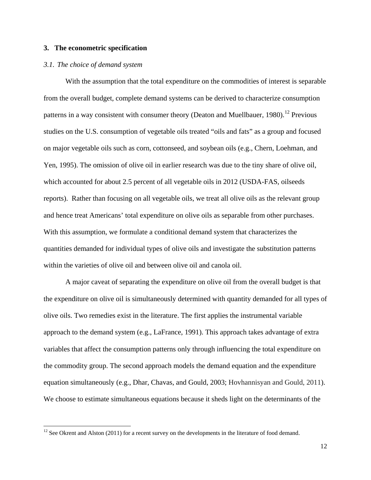#### **3. The econometric specification**

#### *3.1. The choice of demand system*

 $\overline{\phantom{a}}$ 

With the assumption that the total expenditure on the commodities of interest is separable from the overall budget, complete demand systems can be derived to characterize consumption patterns in a way consistent with consumer theory (Deaton and Muellbauer, 1980).<sup>[12](#page-12-0)</sup> Previous studies on the U.S. consumption of vegetable oils treated "oils and fats" as a group and focused on major vegetable oils such as corn, cottonseed, and soybean oils (e.g., Chern, Loehman, and Yen, 1995). The omission of olive oil in earlier research was due to the tiny share of olive oil, which accounted for about 2.5 percent of all vegetable oils in 2012 (USDA-FAS, oilseeds reports). Rather than focusing on all vegetable oils, we treat all olive oils as the relevant group and hence treat Americans' total expenditure on olive oils as separable from other purchases. With this assumption, we formulate a conditional demand system that characterizes the quantities demanded for individual types of olive oils and investigate the substitution patterns within the varieties of olive oil and between olive oil and canola oil.

A major caveat of separating the expenditure on olive oil from the overall budget is that the expenditure on olive oil is simultaneously determined with quantity demanded for all types of olive oils. Two remedies exist in the literature. The first applies the instrumental variable approach to the demand system (e.g., LaFrance, 1991). This approach takes advantage of extra variables that affect the consumption patterns only through influencing the total expenditure on the commodity group. The second approach models the demand equation and the expenditure equation simultaneously (e.g., Dhar, Chavas, and Gould, 2003; Hovhannisyan and Gould, 2011). We choose to estimate simultaneous equations because it sheds light on the determinants of the

<span id="page-12-0"></span> $12$  See Okrent and Alston (2011) for a recent survey on the developments in the literature of food demand.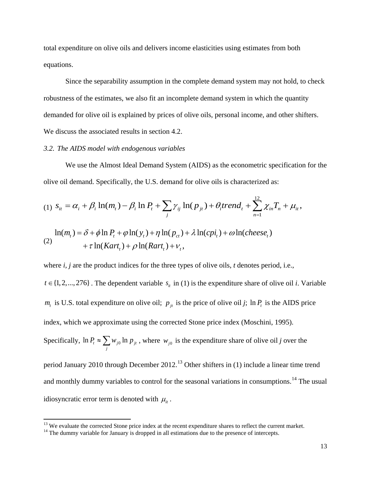total expenditure on olive oils and delivers income elasticities using estimates from both equations.

Since the separability assumption in the complete demand system may not hold, to check robustness of the estimates, we also fit an incomplete demand system in which the quantity demanded for olive oil is explained by prices of olive oils, personal income, and other shifters. We discuss the associated results in section 4.2.

#### *3.2. The AIDS model with endogenous variables*

We use the Almost Ideal Demand System (AIDS) as the econometric specification for the olive oil demand. Specifically, the U.S. demand for olive oils is characterized as:

(1) 
$$
S_{it} = \alpha_i + \beta_i \ln(m_t) - \beta_i \ln P_t + \sum_j \gamma_{ij} \ln(p_{jt}) + \theta_i trend_t + \sum_{n=1}^{12} \chi_{in} T_n + \mu_{it},
$$
  
\n
$$
\ln(m_t) = \delta + \phi \ln P_t + \phi \ln(y_t) + \eta \ln(p_{ct}) + \lambda \ln(cpi_t) + \omega \ln(cheese_t)
$$
  
\n(2) 
$$
+ \tau \ln(Kart_t) + \rho \ln(Rart_t) + \nu_t,
$$

where *i, j* are the product indices for the three types of olive oils, *t* denotes period, i.e.,  $t \in \{1, 2, ..., 276\}$ . The dependent variable  $s_i$  in (1) is the expenditure share of olive oil *i*. Variable  $m_t$  is U.S. total expenditure on olive oil;  $p_{it}$  is the price of olive oil *j*; ln  $P_t$  is the AIDS price index, which we approximate using the corrected Stone price index (Moschini, 1995). Specifically,  $\ln P_t \approx \sum w_{j0} \ln p_{jt}$  $P_t \approx \sum_j w_{j0} \ln p_{jt}$ , where  $w_{j0}$  is the expenditure share of olive oil *j* over the period January 2010 through December 2012.<sup>[13](#page-13-0)</sup> Other shifters in (1) include a linear time trend and monthly dummy variables to control for the seasonal variations in consumptions.<sup>[14](#page-13-1)</sup> The usual idiosyncratic error term is denoted with  $\mu_{it}$ .

<span id="page-13-0"></span><sup>&</sup>lt;sup>13</sup> We evaluate the corrected Stone price index at the recent expenditure shares to reflect the current market.  $14$  The dummy variable for January is dropped in all estimations due to the presence of intercepts.

<span id="page-13-1"></span>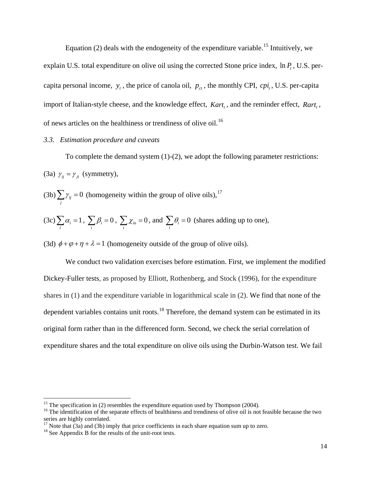Equation (2) deals with the endogeneity of the expenditure variable.<sup>[15](#page-14-0)</sup> Intuitively, we explain U.S. total expenditure on olive oil using the corrected Stone price index,  $\ln P_t$ , U.S. percapita personal income,  $y_t$ , the price of canola oil,  $p_{ct}$ , the monthly CPI,  $cpi_t$ , U.S. per-capita import of Italian-style cheese, and the knowledge effect, *Kart*,, and the reminder effect, *Rart*,, of news articles on the healthiness or trendiness of olive oil.[16](#page-14-1)

#### *3.3. Estimation procedure and caveats*

To complete the demand system (1)-(2), we adopt the following parameter restrictions: (3a)  $\gamma_{ii} = \gamma_{ii}$  (symmetry),

 $(3b)$   $\sum \gamma_{ij} = 0$  $\sum_j \gamma_{ij} = 0$  (homogeneity within the group of olive oils),<sup>[17](#page-14-2)</sup>

(3c) 
$$
\sum_i \alpha_i = 1
$$
,  $\sum_i \beta_i = 0$ ,  $\sum_i \chi_{in} = 0$ , and  $\sum_i \theta_i = 0$  (shares adding up to one),

(3d)  $\phi + \varphi + \eta + \lambda = 1$  (homogeneity outside of the group of olive oils).

We conduct two validation exercises before estimation. First, we implement the modified Dickey-Fuller tests, as proposed by Elliott, Rothenberg, and Stock (1996), for the expenditure shares in (1) and the expenditure variable in logarithmical scale in (2). We find that none of the dependent variables contains unit roots.<sup>[18](#page-14-3)</sup> Therefore, the demand system can be estimated in its original form rather than in the differenced form. Second, we check the serial correlation of expenditure shares and the total expenditure on olive oils using the Durbin-Watson test. We fail

<span id="page-14-1"></span><span id="page-14-0"></span><sup>&</sup>lt;sup>15</sup> The specification in (2) resembles the expenditure equation used by Thompson (2004).<br><sup>16</sup> The identification of the separate effects of healthiness and trendiness of olive oil is not feasible because the two series are highly correlated.

<span id="page-14-2"></span><sup>&</sup>lt;sup>17</sup> Note that (3a) and (3b) imply that price coefficients in each share equation sum up to zero. <sup>18</sup> See Appendix B for the results of the unit-root tests.

<span id="page-14-3"></span>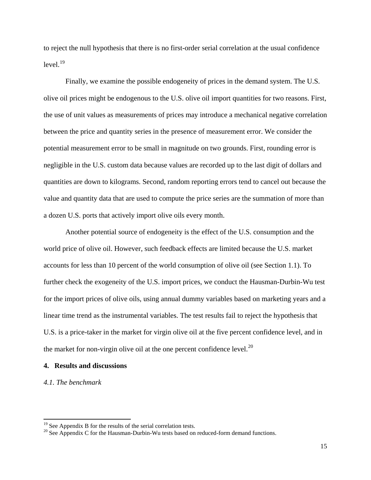to reject the null hypothesis that there is no first-order serial correlation at the usual confidence  $level<sup>19</sup>$  $level<sup>19</sup>$  $level<sup>19</sup>$ 

Finally, we examine the possible endogeneity of prices in the demand system. The U.S. olive oil prices might be endogenous to the U.S. olive oil import quantities for two reasons. First, the use of unit values as measurements of prices may introduce a mechanical negative correlation between the price and quantity series in the presence of measurement error. We consider the potential measurement error to be small in magnitude on two grounds. First, rounding error is negligible in the U.S. custom data because values are recorded up to the last digit of dollars and quantities are down to kilograms. Second, random reporting errors tend to cancel out because the value and quantity data that are used to compute the price series are the summation of more than a dozen U.S. ports that actively import olive oils every month.

Another potential source of endogeneity is the effect of the U.S. consumption and the world price of olive oil. However, such feedback effects are limited because the U.S. market accounts for less than 10 percent of the world consumption of olive oil (see Section 1.1). To further check the exogeneity of the U.S. import prices, we conduct the Hausman-Durbin-Wu test for the import prices of olive oils, using annual dummy variables based on marketing years and a linear time trend as the instrumental variables. The test results fail to reject the hypothesis that U.S. is a price-taker in the market for virgin olive oil at the five percent confidence level, and in the market for non-virgin olive oil at the one percent confidence level. $^{20}$  $^{20}$  $^{20}$ 

#### **4. Results and discussions**

#### *4.1. The benchmark*

<span id="page-15-1"></span><span id="page-15-0"></span><sup>&</sup>lt;sup>19</sup> See Appendix B for the results of the serial correlation tests.<br><sup>20</sup> See Appendix C for the Hausman-Durbin-Wu tests based on reduced-form demand functions.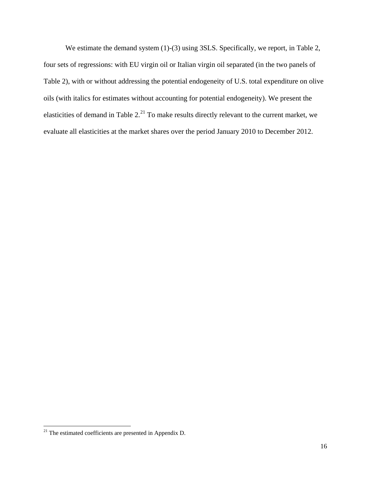We estimate the demand system (1)-(3) using 3SLS. Specifically, we report, in Table 2, four sets of regressions: with EU virgin oil or Italian virgin oil separated (in the two panels of Table 2), with or without addressing the potential endogeneity of U.S. total expenditure on olive oils (with italics for estimates without accounting for potential endogeneity). We present the elasticities of demand in Table  $2.^{21}$  $2.^{21}$  $2.^{21}$  To make results directly relevant to the current market, we evaluate all elasticities at the market shares over the period January 2010 to December 2012.

<span id="page-16-0"></span> $21$  The estimated coefficients are presented in Appendix D.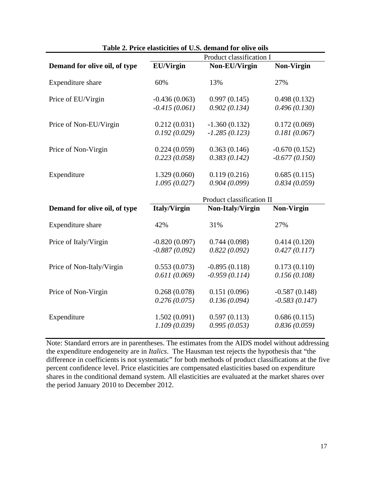| <b>rative 2.</b> Fire elasticities of $\mathbf{C}$ .s. definand for only $\mathbf{C}$ ons | Product classification I  |                  |                   |  |
|-------------------------------------------------------------------------------------------|---------------------------|------------------|-------------------|--|
| Demand for olive oil, of type                                                             | <b>EU/Virgin</b>          | Non-EU/Virgin    | <b>Non-Virgin</b> |  |
| Expenditure share                                                                         | 60%                       | 13%              | 27%               |  |
| Price of EU/Virgin                                                                        | $-0.436(0.063)$           | 0.997(0.145)     | 0.498(0.132)      |  |
|                                                                                           | $-0.415(0.061)$           | 0.902(0.134)     | 0.496(0.130)      |  |
| Price of Non-EU/Virgin                                                                    | 0.212(0.031)              | $-1.360(0.132)$  | 0.172(0.069)      |  |
|                                                                                           | 0.192(0.029)              | $-1.285(0.123)$  | 0.181(0.067)      |  |
| Price of Non-Virgin                                                                       | 0.224(0.059)              | 0.363(0.146)     | $-0.670(0.152)$   |  |
|                                                                                           | 0.223(0.058)              | 0.383(0.142)     | $-0.677(0.150)$   |  |
| Expenditure                                                                               | 1.329(0.060)              | 0.119(0.216)     | 0.685(0.115)      |  |
|                                                                                           | 1.095(0.027)              | 0.904(0.099)     | 0.834(0.059)      |  |
|                                                                                           | Product classification II |                  |                   |  |
| Demand for olive oil, of type                                                             | <b>Italy/Virgin</b>       | Non-Italy/Virgin | <b>Non-Virgin</b> |  |
| Expenditure share                                                                         | 42%                       | 31%              | 27%               |  |
| Price of Italy/Virgin                                                                     | $-0.820(0.097)$           | 0.744(0.098)     | 0.414(0.120)      |  |
|                                                                                           | $-0.887(0.092)$           | 0.822(0.092)     | 0.427(0.117)      |  |
| Price of Non-Italy/Virgin                                                                 | 0.553(0.073)              | $-0.895(0.118)$  | 0.173(0.110)      |  |
|                                                                                           | 0.611(0.069)              | $-0.959(0.114)$  | 0.156(0.108)      |  |
| Price of Non-Virgin                                                                       | 0.268(0.078)              | 0.151(0.096)     | $-0.587(0.148)$   |  |
|                                                                                           | 0.276(0.075)              | 0.136(0.094)     | $-0.583(0.147)$   |  |
| Expenditure                                                                               | 1.502(0.091)              | 0.597(0.113)     | 0.686(0.115)      |  |
|                                                                                           | 1.109(0.039)              | 0.995(0.053)     | 0.836(0.059)      |  |

#### **Table 2. Price elasticities of U.S. demand for olive oils**

Note: Standard errors are in parentheses. The estimates from the AIDS model without addressing the expenditure endogeneity are in *Italics*. The Hausman test rejects the hypothesis that "the difference in coefficients is not systematic" for both methods of product classifications at the five percent confidence level. Price elasticities are compensated elasticities based on expenditure shares in the conditional demand system. All elasticities are evaluated at the market shares over the period January 2010 to December 2012.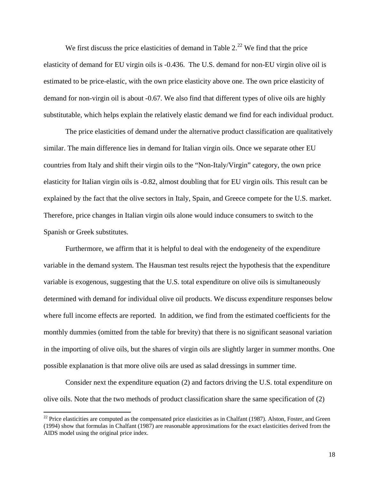We first discuss the price elasticities of demand in Table  $2.^{22}$  $2.^{22}$  $2.^{22}$  We find that the price elasticity of demand for EU virgin oils is -0.436. The U.S. demand for non-EU virgin olive oil is estimated to be price-elastic, with the own price elasticity above one. The own price elasticity of demand for non-virgin oil is about -0.67. We also find that different types of olive oils are highly substitutable, which helps explain the relatively elastic demand we find for each individual product.

The price elasticities of demand under the alternative product classification are qualitatively similar. The main difference lies in demand for Italian virgin oils. Once we separate other EU countries from Italy and shift their virgin oils to the "Non-Italy/Virgin" category, the own price elasticity for Italian virgin oils is -0.82, almost doubling that for EU virgin oils. This result can be explained by the fact that the olive sectors in Italy, Spain, and Greece compete for the U.S. market. Therefore, price changes in Italian virgin oils alone would induce consumers to switch to the Spanish or Greek substitutes.

Furthermore, we affirm that it is helpful to deal with the endogeneity of the expenditure variable in the demand system. The Hausman test results reject the hypothesis that the expenditure variable is exogenous, suggesting that the U.S. total expenditure on olive oils is simultaneously determined with demand for individual olive oil products. We discuss expenditure responses below where full income effects are reported. In addition, we find from the estimated coefficients for the monthly dummies (omitted from the table for brevity) that there is no significant seasonal variation in the importing of olive oils, but the shares of virgin oils are slightly larger in summer months. One possible explanation is that more olive oils are used as salad dressings in summer time.

Consider next the expenditure equation (2) and factors driving the U.S. total expenditure on olive oils. Note that the two methods of product classification share the same specification of (2)

l

<span id="page-18-0"></span> $22$  Price elasticities are computed as the compensated price elasticities as in Chalfant (1987). Alston, Foster, and Green (1994) show that formulas in Chalfant (1987) are reasonable approximations for the exact elasticities derived from the AIDS model using the original price index.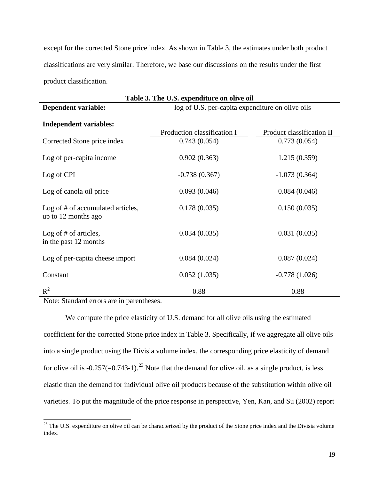except for the corrected Stone price index. As shown in Table 3, the estimates under both product classifications are very similar. Therefore, we base our discussions on the results under the first product classification.

| Table 3. The U.S. expenditure on olive oil               |                                                  |                           |  |  |
|----------------------------------------------------------|--------------------------------------------------|---------------------------|--|--|
| <b>Dependent variable:</b>                               | log of U.S. per-capita expenditure on olive oils |                           |  |  |
| <b>Independent variables:</b>                            | Production classification I                      | Product classification II |  |  |
| Corrected Stone price index                              | 0.743(0.054)                                     | 0.773(0.054)              |  |  |
|                                                          |                                                  |                           |  |  |
| Log of per-capita income                                 | 0.902(0.363)                                     | 1.215(0.359)              |  |  |
| Log of CPI                                               | $-0.738(0.367)$                                  | $-1.073(0.364)$           |  |  |
| Log of canola oil price                                  | 0.093(0.046)                                     | 0.084(0.046)              |  |  |
| Log of # of accumulated articles,<br>up to 12 months ago | 0.178(0.035)                                     | 0.150(0.035)              |  |  |
| Log of $#$ of articles,<br>in the past 12 months         | 0.034(0.035)                                     | 0.031(0.035)              |  |  |
| Log of per-capita cheese import                          | 0.084(0.024)                                     | 0.087(0.024)              |  |  |
| Constant                                                 | 0.052(1.035)                                     | $-0.778(1.026)$           |  |  |
| $R^2$                                                    | 0.88                                             | 0.88                      |  |  |

Note: Standard errors are in parentheses.

 $\overline{\phantom{a}}$ 

We compute the price elasticity of U.S. demand for all olive oils using the estimated coefficient for the corrected Stone price index in Table 3. Specifically, if we aggregate all olive oils into a single product using the Divisia volume index, the corresponding price elasticity of demand for olive oil is  $-0.257(-0.743-1)$ .<sup>[23](#page-19-0)</sup> Note that the demand for olive oil, as a single product, is less elastic than the demand for individual olive oil products because of the substitution within olive oil varieties. To put the magnitude of the price response in perspective, Yen, Kan, and Su (2002) report

<span id="page-19-0"></span> $23$  The U.S. expenditure on olive oil can be characterized by the product of the Stone price index and the Divisia volume index.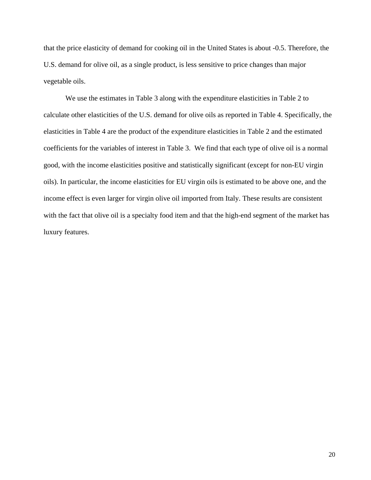that the price elasticity of demand for cooking oil in the United States is about -0.5. Therefore, the U.S. demand for olive oil, as a single product, is less sensitive to price changes than major vegetable oils.

We use the estimates in Table 3 along with the expenditure elasticities in Table 2 to calculate other elasticities of the U.S. demand for olive oils as reported in Table 4. Specifically, the elasticities in Table 4 are the product of the expenditure elasticities in Table 2 and the estimated coefficients for the variables of interest in Table 3. We find that each type of olive oil is a normal good, with the income elasticities positive and statistically significant (except for non-EU virgin oils). In particular, the income elasticities for EU virgin oils is estimated to be above one, and the income effect is even larger for virgin olive oil imported from Italy. These results are consistent with the fact that olive oil is a specialty food item and that the high-end segment of the market has luxury features.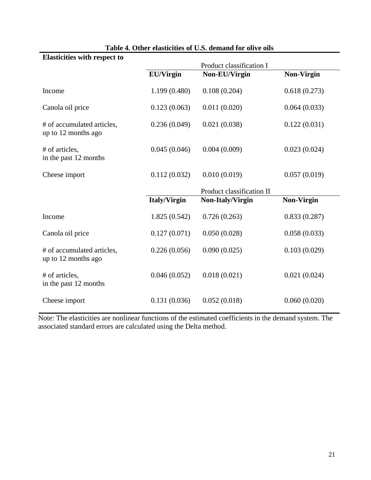| <b>Elasticities with respect to</b>               |                     | Product classification I  |                   |
|---------------------------------------------------|---------------------|---------------------------|-------------------|
|                                                   | <b>EU/Virgin</b>    | Non-EU/Virgin             | <b>Non-Virgin</b> |
| Income                                            | 1.199(0.480)        | 0.108(0.204)              | 0.618(0.273)      |
| Canola oil price                                  | 0.123(0.063)        | 0.011(0.020)              | 0.064(0.033)      |
| # of accumulated articles,<br>up to 12 months ago | 0.236(0.049)        | 0.021(0.038)              | 0.122(0.031)      |
| # of articles,<br>in the past 12 months           | 0.045(0.046)        | 0.004(0.009)              | 0.023(0.024)      |
| Cheese import                                     | 0.112(0.032)        | 0.010(0.019)              | 0.057(0.019)      |
|                                                   |                     | Product classification II |                   |
|                                                   | <b>Italy/Virgin</b> | Non-Italy/Virgin          | Non-Virgin        |
| Income                                            | 1.825(0.542)        | 0.726(0.263)              | 0.833(0.287)      |
| Canola oil price                                  | 0.127(0.071)        | 0.050(0.028)              | 0.058(0.033)      |
| # of accumulated articles,<br>up to 12 months ago | 0.226(0.056)        | 0.090(0.025)              | 0.103(0.029)      |
| # of articles,<br>in the past 12 months           | 0.046(0.052)        | 0.018(0.021)              | 0.021(0.024)      |
| Cheese import                                     | 0.131(0.036)        | 0.052(0.018)              | 0.060(0.020)      |

## **Table 4. Other elasticities of U.S. demand for olive oils**

Note: The elasticities are nonlinear functions of the estimated coefficients in the demand system. The associated standard errors are calculated using the Delta method.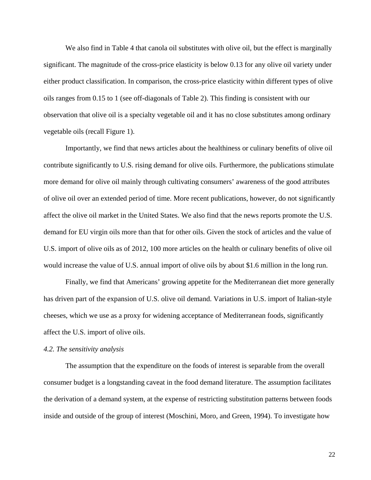We also find in Table 4 that canola oil substitutes with olive oil, but the effect is marginally significant. The magnitude of the cross-price elasticity is below 0.13 for any olive oil variety under either product classification. In comparison, the cross-price elasticity within different types of olive oils ranges from 0.15 to 1 (see off-diagonals of Table 2). This finding is consistent with our observation that olive oil is a specialty vegetable oil and it has no close substitutes among ordinary vegetable oils (recall Figure 1).

Importantly, we find that news articles about the healthiness or culinary benefits of olive oil contribute significantly to U.S. rising demand for olive oils. Furthermore, the publications stimulate more demand for olive oil mainly through cultivating consumers' awareness of the good attributes of olive oil over an extended period of time. More recent publications, however, do not significantly affect the olive oil market in the United States. We also find that the news reports promote the U.S. demand for EU virgin oils more than that for other oils. Given the stock of articles and the value of U.S. import of olive oils as of 2012, 100 more articles on the health or culinary benefits of olive oil would increase the value of U.S. annual import of olive oils by about \$1.6 million in the long run.

Finally, we find that Americans' growing appetite for the Mediterranean diet more generally has driven part of the expansion of U.S. olive oil demand. Variations in U.S. import of Italian-style cheeses, which we use as a proxy for widening acceptance of Mediterranean foods, significantly affect the U.S. import of olive oils.

#### *4.2. The sensitivity analysis*

The assumption that the expenditure on the foods of interest is separable from the overall consumer budget is a longstanding caveat in the food demand literature. The assumption facilitates the derivation of a demand system, at the expense of restricting substitution patterns between foods inside and outside of the group of interest (Moschini, Moro, and Green, 1994). To investigate how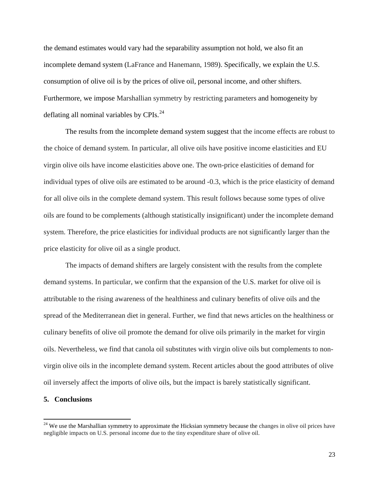the demand estimates would vary had the separability assumption not hold, we also fit an incomplete demand system (LaFrance and Hanemann, 1989). Specifically, we explain the U.S. consumption of olive oil is by the prices of olive oil, personal income, and other shifters. Furthermore, we impose Marshallian symmetry by restricting parameters and homogeneity by deflating all nominal variables by  $CPIs<sup>24</sup>$  $CPIs<sup>24</sup>$  $CPIs<sup>24</sup>$ .

The results from the incomplete demand system suggest that the income effects are robust to the choice of demand system. In particular, all olive oils have positive income elasticities and EU virgin olive oils have income elasticities above one. The own-price elasticities of demand for individual types of olive oils are estimated to be around -0.3, which is the price elasticity of demand for all olive oils in the complete demand system. This result follows because some types of olive oils are found to be complements (although statistically insignificant) under the incomplete demand system. Therefore, the price elasticities for individual products are not significantly larger than the price elasticity for olive oil as a single product.

The impacts of demand shifters are largely consistent with the results from the complete demand systems. In particular, we confirm that the expansion of the U.S. market for olive oil is attributable to the rising awareness of the healthiness and culinary benefits of olive oils and the spread of the Mediterranean diet in general. Further, we find that news articles on the healthiness or culinary benefits of olive oil promote the demand for olive oils primarily in the market for virgin oils. Nevertheless, we find that canola oil substitutes with virgin olive oils but complements to nonvirgin olive oils in the incomplete demand system. Recent articles about the good attributes of olive oil inversely affect the imports of olive oils, but the impact is barely statistically significant.

#### **5. Conclusions**

<span id="page-23-0"></span><sup>&</sup>lt;sup>24</sup> We use the Marshallian symmetry to approximate the Hicksian symmetry because the changes in olive oil prices have negligible impacts on U.S. personal income due to the tiny expenditure share of olive oil.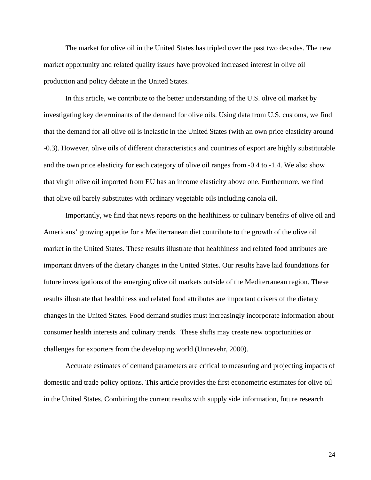The market for olive oil in the United States has tripled over the past two decades. The new market opportunity and related quality issues have provoked increased interest in olive oil production and policy debate in the United States.

In this article, we contribute to the better understanding of the U.S. olive oil market by investigating key determinants of the demand for olive oils. Using data from U.S. customs, we find that the demand for all olive oil is inelastic in the United States (with an own price elasticity around -0.3). However, olive oils of different characteristics and countries of export are highly substitutable and the own price elasticity for each category of olive oil ranges from -0.4 to -1.4. We also show that virgin olive oil imported from EU has an income elasticity above one. Furthermore, we find that olive oil barely substitutes with ordinary vegetable oils including canola oil.

Importantly, we find that news reports on the healthiness or culinary benefits of olive oil and Americans' growing appetite for a Mediterranean diet contribute to the growth of the olive oil market in the United States. These results illustrate that healthiness and related food attributes are important drivers of the dietary changes in the United States. Our results have laid foundations for future investigations of the emerging olive oil markets outside of the Mediterranean region. These results illustrate that healthiness and related food attributes are important drivers of the dietary changes in the United States. Food demand studies must increasingly incorporate information about consumer health interests and culinary trends. These shifts may create new opportunities or challenges for exporters from the developing world (Unnevehr, 2000).

Accurate estimates of demand parameters are critical to measuring and projecting impacts of domestic and trade policy options. This article provides the first econometric estimates for olive oil in the United States. Combining the current results with supply side information, future research

24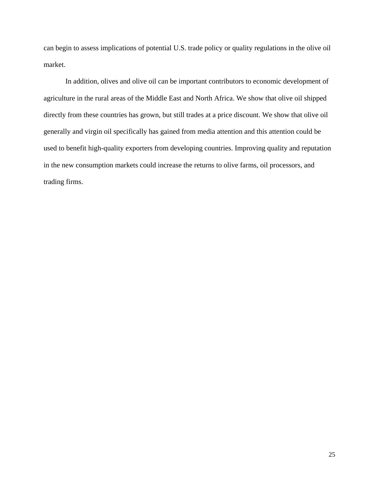can begin to assess implications of potential U.S. trade policy or quality regulations in the olive oil market.

In addition, olives and olive oil can be important contributors to economic development of agriculture in the rural areas of the Middle East and North Africa. We show that olive oil shipped directly from these countries has grown, but still trades at a price discount. We show that olive oil generally and virgin oil specifically has gained from media attention and this attention could be used to benefit high-quality exporters from developing countries. Improving quality and reputation in the new consumption markets could increase the returns to olive farms, oil processors, and trading firms.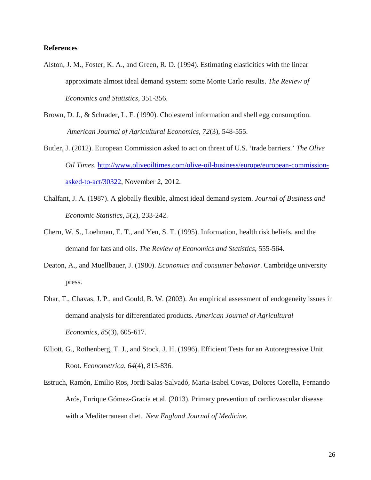#### **References**

- Alston, J. M., Foster, K. A., and Green, R. D. (1994). Estimating elasticities with the linear approximate almost ideal demand system: some Monte Carlo results. *The Review of Economics and Statistics*, 351-356.
- Brown, D. J., & Schrader, L. F. (1990). Cholesterol information and shell egg consumption. *American Journal of Agricultural Economics*, *72*(3), 548-555.
- Butler, J. (2012). European Commission asked to act on threat of U.S. 'trade barriers.' *The Olive Oil Times.* [http://www.oliveoiltimes.com/olive-oil-business/europe/european-commission](http://www.oliveoiltimes.com/olive-oil-business/europe/european-commission-asked-to-act/30322)[asked-to-act/30322,](http://www.oliveoiltimes.com/olive-oil-business/europe/european-commission-asked-to-act/30322) November 2, 2012.
- Chalfant, J. A. (1987). A globally flexible, almost ideal demand system. *Journal of Business and Economic Statistics*, *5*(2), 233-242.
- Chern, W. S., Loehman, E. T., and Yen, S. T. (1995). Information, health risk beliefs, and the demand for fats and oils. *The Review of Economics and Statistics*, 555-564.
- Deaton, A., and Muellbauer, J. (1980). *Economics and consumer behavior*. Cambridge university press.
- Dhar, T., Chavas, J. P., and Gould, B. W. (2003). An empirical assessment of endogeneity issues in demand analysis for differentiated products. *American Journal of Agricultural Economics*, *85*(3), 605-617.
- Elliott, G., Rothenberg, T. J., and Stock, J. H. (1996). Efficient Tests for an Autoregressive Unit Root. *Econometrica*, *64*(4), 813-836.
- Estruch, Ramón, Emilio Ros, Jordi Salas-Salvadó, Maria-Isabel Covas, Dolores Corella, Fernando Arós, Enrique Gómez-Gracia et al. (2013). Primary prevention of cardiovascular disease with a Mediterranean diet. *New England Journal of Medicine.*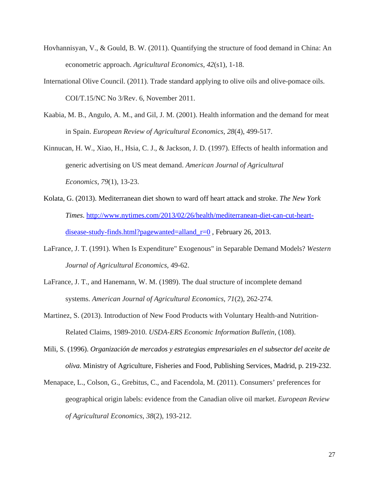- Hovhannisyan, V., & Gould, B. W. (2011). Quantifying the structure of food demand in China: An econometric approach. *Agricultural Economics*, *42*(s1), 1-18.
- International Olive Council. (2011). Trade standard applying to olive oils and olive-pomace oils. COI/T.15/NC No 3/Rev. 6, November 2011.
- Kaabia, M. B., Angulo, A. M., and Gil, J. M. (2001). Health information and the demand for meat in Spain. *European Review of Agricultural Economics*, *28*(4), 499-517.
- Kinnucan, H. W., Xiao, H., Hsia, C. J., & Jackson, J. D. (1997). Effects of health information and generic advertising on US meat demand. *American Journal of Agricultural Economics*, *79*(1), 13-23.
- Kolata, G. (2013). Mediterranean diet shown to ward off heart attack and stroke. *The New York Times*. [http://www.nytimes.com/2013/02/26/health/mediterranean-diet-can-cut-heart](http://www.nytimes.com/2013/02/26/health/mediterranean-diet-can-cut-heart-disease-study-finds.html?pagewanted=all&_r=0%20)[disease-study-finds.html?pagewanted=alland\\_r=0](http://www.nytimes.com/2013/02/26/health/mediterranean-diet-can-cut-heart-disease-study-finds.html?pagewanted=all&_r=0%20) , February 26, 2013.
- LaFrance, J. T. (1991). When Is Expenditure" Exogenous" in Separable Demand Models? *Western Journal of Agricultural Economics*, 49-62.
- LaFrance, J. T., and Hanemann, W. M. (1989). The dual structure of incomplete demand systems. *American Journal of Agricultural Economics*, *71*(2), 262-274.
- Martinez, S. (2013). Introduction of New Food Products with Voluntary Health-and Nutrition-Related Claims, 1989-2010. *USDA-ERS Economic Information Bulletin*, (108).
- Mili, S. (1996). *Organización de mercados y estrategias empresariales en el subsector del aceite de oliva*. Ministry of Agriculture, Fisheries and Food, Publishing Services, Madrid, p. 219-232.
- Menapace, L., Colson, G., Grebitus, C., and Facendola, M. (2011). Consumers' preferences for geographical origin labels: evidence from the Canadian olive oil market. *European Review of Agricultural Economics*, *38*(2), 193-212.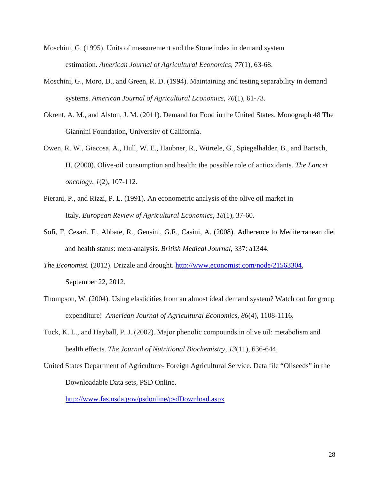Moschini, G. (1995). Units of measurement and the Stone index in demand system estimation. *American Journal of Agricultural Economics*, *77*(1), 63-68.

- Moschini, G., Moro, D., and Green, R. D. (1994). Maintaining and testing separability in demand systems. *American Journal of Agricultural Economics*, *76*(1), 61-73.
- Okrent, A. M., and Alston, J. M. (2011). Demand for Food in the United States. Monograph 48 The Giannini Foundation, University of California.
- Owen, R. W., Giacosa, A., Hull, W. E., Haubner, R., Würtele, G., Spiegelhalder, B., and Bartsch, H. (2000). Olive-oil consumption and health: the possible role of antioxidants. *The Lancet oncology*, *1*(2), 107-112.
- Pierani, P., and Rizzi, P. L. (1991). An econometric analysis of the olive oil market in Italy. *European Review of Agricultural Economics*, *18*(1), 37-60.
- Sofi, F, Cesari, F., Abbate, R., Gensini, G.F., Casini, A. (2008). Adherence to Mediterranean diet and health status: meta-analysis. *British Medical Journal*, 337: a1344.
- *The Economist.* (2012). Drizzle and drought. [http://www.economist.com/node/21563304,](http://www.economist.com/node/21563304) September 22, 2012.
- Thompson, W. (2004). Using elasticities from an almost ideal demand system? Watch out for group expenditure! *American Journal of Agricultural Economics*, *86*(4), 1108-1116.
- Tuck, K. L., and Hayball, P. J. (2002). Major phenolic compounds in olive oil: metabolism and health effects. *The Journal of Nutritional Biochemistry*, *13*(11), 636-644.
- United States Department of Agriculture- Foreign Agricultural Service. Data file "Oliseeds" in the Downloadable Data sets, PSD Online.

<http://www.fas.usda.gov/psdonline/psdDownload.aspx>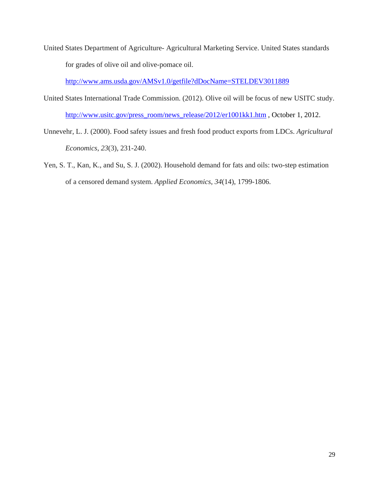United States Department of Agriculture- Agricultural Marketing Service. United States standards for grades of olive oil and olive-pomace oil.

<http://www.ams.usda.gov/AMSv1.0/getfile?dDocName=STELDEV3011889>

- United States International Trade Commission. (2012). Olive oil will be focus of new USITC study. [http://www.usitc.gov/press\\_room/news\\_release/2012/er1001kk1.htm](http://www.usitc.gov/press_room/news_release/2012/er1001kk1.htm) , October 1, 2012.
- Unnevehr, L. J. (2000). Food safety issues and fresh food product exports from LDCs. *Agricultural Economics*, *23*(3), 231-240.
- Yen, S. T., Kan, K., and Su, S. J. (2002). Household demand for fats and oils: two-step estimation of a censored demand system. *Applied Economics*, *34*(14), 1799-1806.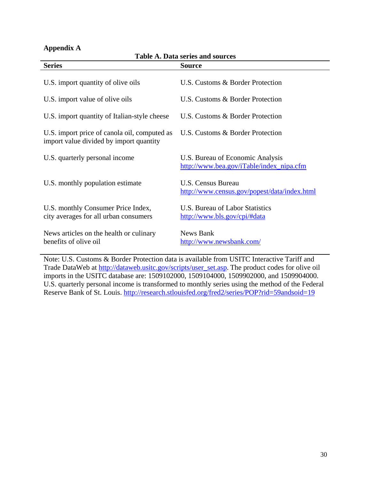# **Appendix A**

| Table A. Data series and sources                                                        |                                                                              |  |  |  |
|-----------------------------------------------------------------------------------------|------------------------------------------------------------------------------|--|--|--|
| <b>Series</b>                                                                           | <b>Source</b>                                                                |  |  |  |
| U.S. import quantity of olive oils                                                      | U.S. Customs & Border Protection                                             |  |  |  |
| U.S. import value of olive oils                                                         | U.S. Customs & Border Protection                                             |  |  |  |
| U.S. import quantity of Italian-style cheese                                            | U.S. Customs & Border Protection                                             |  |  |  |
| U.S. import price of canola oil, computed as<br>import value divided by import quantity | U.S. Customs & Border Protection                                             |  |  |  |
| U.S. quarterly personal income                                                          | U.S. Bureau of Economic Analysis<br>http://www.bea.gov/iTable/index_nipa.cfm |  |  |  |
| U.S. monthly population estimate                                                        | U.S. Census Bureau<br>http://www.census.gov/popest/data/index.html           |  |  |  |
| U.S. monthly Consumer Price Index,<br>city averages for all urban consumers             | U.S. Bureau of Labor Statistics<br>http://www.bls.gov/cpi/#data              |  |  |  |
| News articles on the health or culinary<br>benefits of olive oil                        | <b>News Bank</b><br>http://www.newsbank.com/                                 |  |  |  |

**Table A. Data series and sources**

Note: U.S. Customs & Border Protection data is available from USITC Interactive Tariff and Trade DataWeb at [http://dataweb.usitc.gov/scripts/user\\_set.asp.](http://dataweb.usitc.gov/scripts/user_set.asp) The product codes for olive oil imports in the USITC database are: 1509102000, 1509104000, 1509902000, and 1509904000. U.S. quarterly personal income is transformed to monthly series using the method of the Federal Reserve Bank of St. Louis. [http://research.stlouisfed.org/fred2/series/POP?rid=59andsoid=19](http://research.stlouisfed.org/fred2/series/POP?rid=59&soid=19)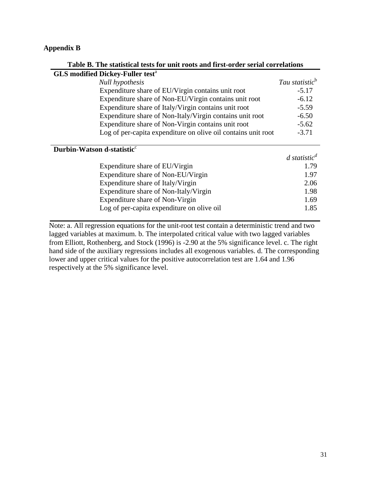## **Appendix B**

| Table B. The statistical tests for unit roots and first-order serial correlations |                                         |
|-----------------------------------------------------------------------------------|-----------------------------------------|
| <b>GLS modified Dickey-Fuller test<sup>a</sup></b>                                |                                         |
| <b>Null hypothesis</b>                                                            | Tau statistic <sup>b</sup>              |
| Expenditure share of EU/Virgin contains unit root                                 | $-5.17$                                 |
| Expenditure share of Non-EU/Virgin contains unit root                             | $-6.12$                                 |
| Expenditure share of Italy/Virgin contains unit root                              | $-5.59$                                 |
| Expenditure share of Non-Italy/Virgin contains unit root                          | $-6.50$                                 |
| Expenditure share of Non-Virgin contains unit root                                | $-5.62$                                 |
| Log of per-capita expenditure on olive oil contains unit root                     | $-3.71$                                 |
|                                                                                   |                                         |
| Durbin-Watson d-statistic <sup>c</sup>                                            |                                         |
|                                                                                   |                                         |
| Expenditure share of EU/Virgin                                                    | 1.79                                    |
| Expenditure share of Non-EU/Virgin                                                | 1.97                                    |
| Expenditure share of Italy/Virgin                                                 | 2.06                                    |
| Expenditure share of Non-Italy/Virgin                                             | 1.98                                    |
| Expenditure share of Non-Virgin                                                   | 1.69                                    |
| Log of per-capita expenditure on olive oil                                        | 1.85                                    |
|                                                                                   | $d$ statistic <sup><math>d</math></sup> |

Note: a. All regression equations for the unit-root test contain a deterministic trend and two lagged variables at maximum. b. The interpolated critical value with two lagged variables from Elliott, Rothenberg, and Stock (1996) is -2.90 at the 5% significance level. c. The right hand side of the auxiliary regressions includes all exogenous variables. d. The corresponding lower and upper critical values for the positive autocorrelation test are 1.64 and 1.96 respectively at the 5% significance level.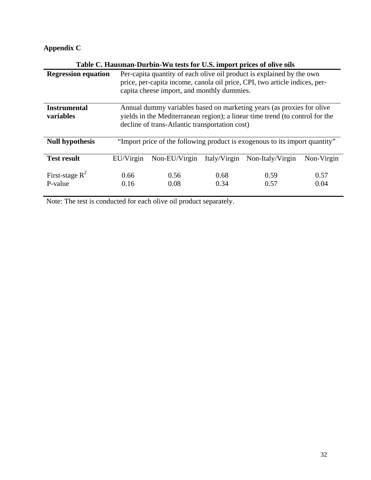# **Appendix C**

| Table C. Hausman-Durbin-Wu tests for U.S. import prices of olive oils |                                                                                                                                                                                                         |               |              |                  |              |
|-----------------------------------------------------------------------|---------------------------------------------------------------------------------------------------------------------------------------------------------------------------------------------------------|---------------|--------------|------------------|--------------|
| <b>Regression equation</b>                                            | Per-capita quantity of each olive oil product is explained by the own<br>price, per-capita income, canola oil price, CPI, two article indices, per-<br>capita cheese import, and monthly dummies.       |               |              |                  |              |
| <b>Instrumental</b><br>variables                                      | Annual dummy variables based on marketing years (as proxies for olive<br>yields in the Mediterranean region); a linear time trend (to control for the<br>decline of trans-Atlantic transportation cost) |               |              |                  |              |
| <b>Null hypothesis</b>                                                | "Import price of the following product is exogenous to its import quantity"                                                                                                                             |               |              |                  |              |
| <b>Test result</b>                                                    | EU/Virgin                                                                                                                                                                                               | Non-EU/Virgin | Italy/Virgin | Non-Italy/Virgin | Non-Virgin   |
| First-stage $R^2$<br>P-value                                          | 0.66<br>0.16                                                                                                                                                                                            | 0.56<br>0.08  | 0.68<br>0.34 | 0.59<br>0.57     | 0.57<br>0.04 |

Note: The test is conducted for each olive oil product separately.